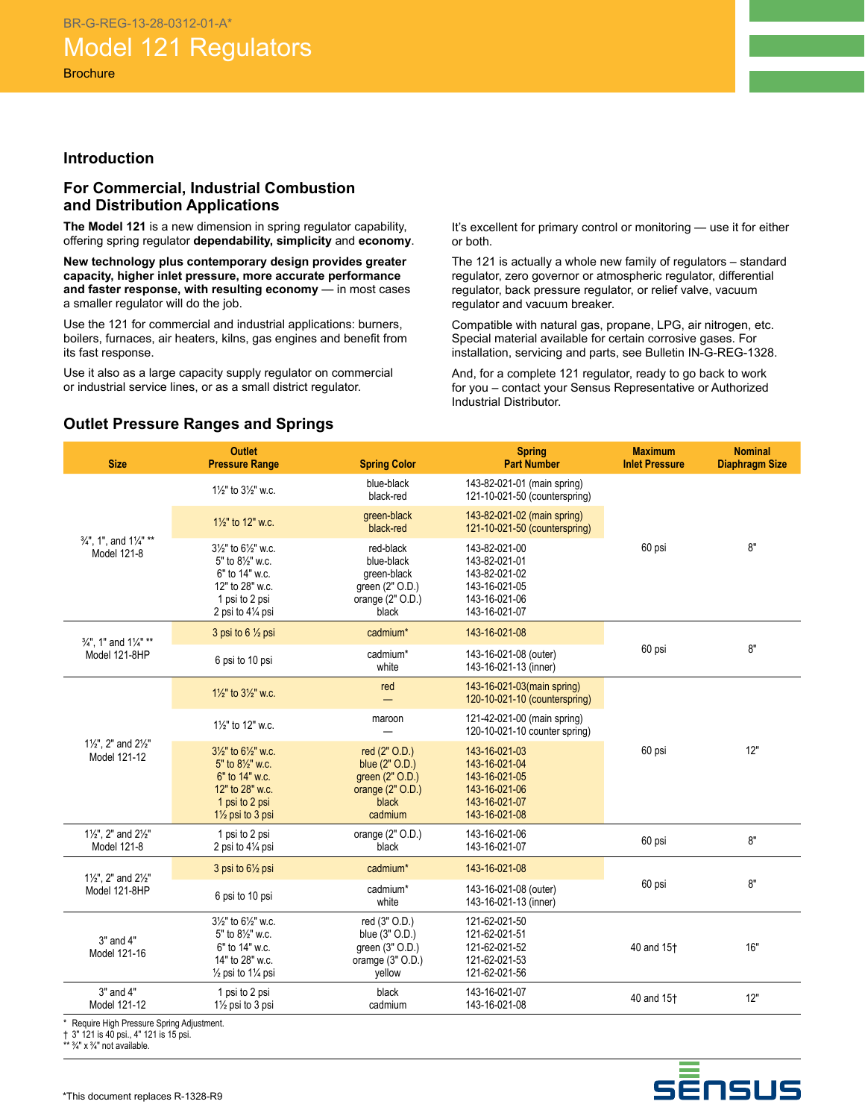### **Introduction**

### **For Commercial, Industrial Combustion and Distribution Applications**

**The Model 121** is a new dimension in spring regulator capability, offering spring regulator **dependability, simplicity** and **economy**.

**New technology plus contemporary design provides greater capacity, higher inlet pressure, more accurate performance and faster response, with resulting economy** — in most cases a smaller regulator will do the job.

Use the 121 for commercial and industrial applications: burners, boilers, furnaces, air heaters, kilns, gas engines and benefit from its fast response.

Use it also as a large capacity supply regulator on commercial or industrial service lines, or as a small district regulator.

It's excellent for primary control or monitoring — use it for either or both.

The 121 is actually a whole new family of regulators – standard regulator, zero governor or atmospheric regulator, differential regulator, back pressure regulator, or relief valve, vacuum regulator and vacuum breaker.

Compatible with natural gas, propane, LPG, air nitrogen, etc. Special material available for certain corrosive gases. For installation, servicing and parts, see Bulletin IN-G-REG-1328.

And, for a complete 121 regulator, ready to go back to work for you – contact your Sensus Representative or Authorized Industrial Distributor.

### **Outlet Pressure Ranges and Springs**

| <b>Size</b>                                                     | <b>Outlet</b><br><b>Pressure Range</b>                                                                                                                             | <b>Spring Color</b>                                                                          | <b>Spring</b><br><b>Part Number</b>                                                                | <b>Maximum</b><br><b>Inlet Pressure</b> | <b>Nominal</b><br><b>Diaphragm Size</b> |
|-----------------------------------------------------------------|--------------------------------------------------------------------------------------------------------------------------------------------------------------------|----------------------------------------------------------------------------------------------|----------------------------------------------------------------------------------------------------|-----------------------------------------|-----------------------------------------|
|                                                                 | 11/2" to 31/2" w.c.                                                                                                                                                | blue-black<br>black-red                                                                      | 143-82-021-01 (main spring)<br>121-10-021-50 (counterspring)                                       |                                         |                                         |
|                                                                 | 11/ <sub>2</sub> " to 12" w.c.                                                                                                                                     | green-black<br>black-red                                                                     | 143-82-021-02 (main spring)<br>121-10-021-50 (counterspring)                                       |                                         |                                         |
| 3/4", 1", and 11/4" **<br>Model 121-8                           | $3\frac{1}{2}$ " to $6\frac{1}{2}$ " w.c.<br>5" to 81/2" w.c.<br>6" to 14" w.c.<br>12" to 28" w.c.<br>1 psi to 2 psi<br>2 psi to 41/4 psi                          | red-black<br>blue-black<br>green-black<br>green (2" O.D.)<br>orange $(2"$ O.D.)<br>black     | 143-82-021-00<br>143-82-021-01<br>143-82-021-02<br>143-16-021-05<br>143-16-021-06<br>143-16-021-07 | 60 psi                                  | 8"                                      |
| 3/ <sub>4</sub> ", 1" and 1/ <sub>4</sub> " **                  | 3 psi to $6\frac{1}{2}$ psi                                                                                                                                        | cadmium*                                                                                     | 143-16-021-08                                                                                      |                                         |                                         |
| Model 121-8HP                                                   | 6 psi to 10 psi                                                                                                                                                    | cadmium*<br>white                                                                            | 143-16-021-08 (outer)<br>143-16-021-13 (inner)                                                     | 60 psi                                  | 8"                                      |
|                                                                 | $1\frac{1}{2}$ " to $3\frac{1}{2}$ " w.c.                                                                                                                          | red                                                                                          | 143-16-021-03(main spring)<br>120-10-021-10 (counterspring)                                        |                                         |                                         |
|                                                                 | 11/ <sub>2</sub> " to 12" w.c.                                                                                                                                     | maroon                                                                                       | 121-42-021-00 (main spring)<br>120-10-021-10 counter spring)                                       |                                         |                                         |
| $1\frac{1}{2}$ ", 2" and $2\frac{1}{2}$ "<br>Model 121-12       | $3\frac{1}{2}$ " to $6\frac{1}{2}$ " w.c.<br>5" to 81/2" w.c.<br>6" to 14" w.c.<br>12" to 28" w.c.<br>1 psi to 2 psi<br>1 <sup>1</sup> / <sub>2</sub> psi to 3 psi | red (2" O.D.)<br>blue (2" O.D.)<br>green (2" O.D.)<br>orange $(2"$ O.D.)<br>black<br>cadmium | 143-16-021-03<br>143-16-021-04<br>143-16-021-05<br>143-16-021-06<br>143-16-021-07<br>143-16-021-08 | 60 psi                                  | 12"                                     |
| 11/2", 2" and 21/2"<br>Model 121-8                              | 1 psi to 2 psi<br>2 psi to 41/4 psi                                                                                                                                | orange $(2"$ O.D.)<br>black                                                                  | 143-16-021-06<br>143-16-021-07                                                                     | 60 psi                                  | 8"                                      |
| 11/2", 2" and 21/2"                                             | 3 psi to 61/2 psi                                                                                                                                                  | cadmium*                                                                                     | 143-16-021-08                                                                                      |                                         |                                         |
| Model 121-8HP                                                   | 6 psi to 10 psi                                                                                                                                                    | cadmium*<br>white                                                                            | 143-16-021-08 (outer)<br>143-16-021-13 (inner)                                                     | 60 psi                                  | 8"                                      |
| 3" and 4"<br>Model 121-16                                       | $3\frac{1}{2}$ " to $6\frac{1}{2}$ " w.c.<br>5" to 81/2" w.c.<br>6" to 14" w.c.<br>14" to 28" w.c.<br>$\frac{1}{2}$ psi to 1 $\frac{1}{4}$ psi                     | red (3" O.D.)<br>blue (3" O.D.)<br>green (3" O.D.)<br>oramge $(3"$ O.D.)<br>vellow           | 121-62-021-50<br>121-62-021-51<br>121-62-021-52<br>121-62-021-53<br>121-62-021-56                  | 40 and 15 <sup>+</sup>                  | 16"                                     |
| $3"$ and $4"$<br>Model 121-12<br>$\cdot$ $\cdot$ $\cdot$ $\sim$ | 1 psi to 2 psi<br>11/2 psi to 3 psi                                                                                                                                | black<br>cadmium                                                                             | 143-16-021-07<br>143-16-021-08                                                                     | 40 and 15 <sup>+</sup>                  | 12"                                     |

Require High Pressure Spring Adjustment.

† 3" 121 is 40 psi., 4" 121 is 15 psi.

 $\frac{3}{4}$ " x  $\frac{3}{4}$ " not available.

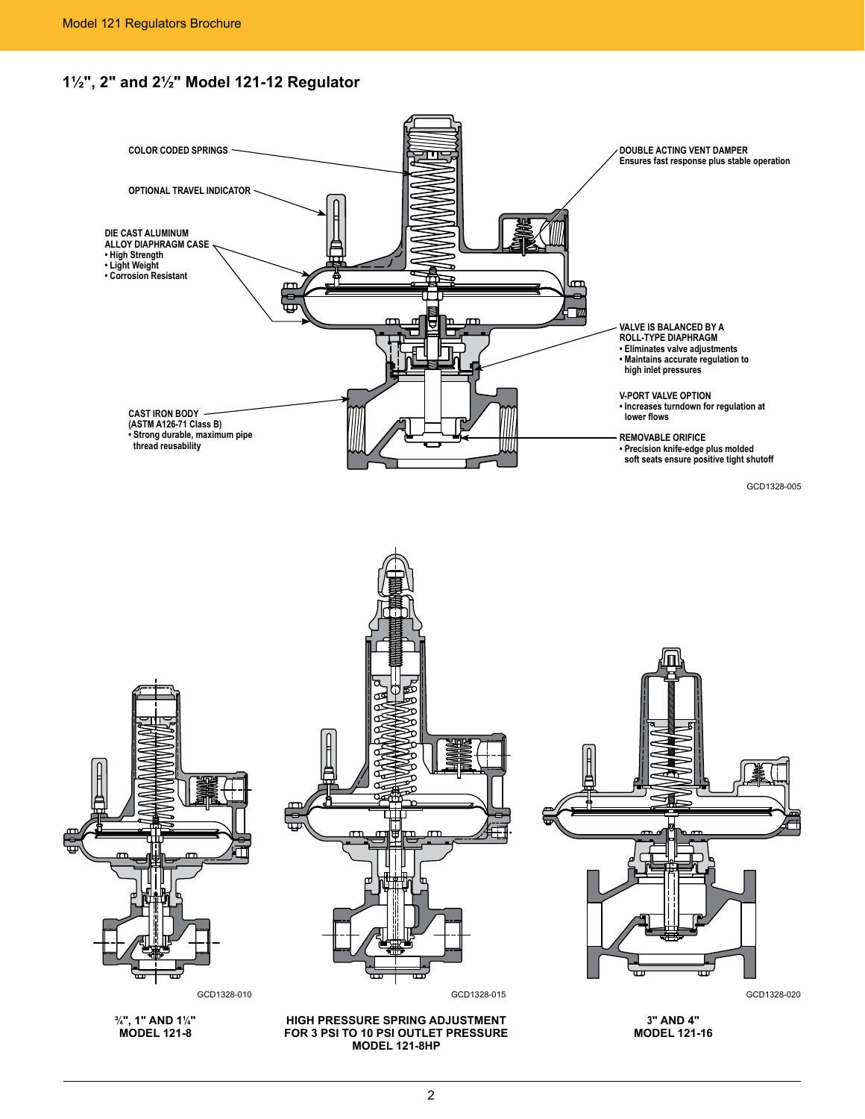

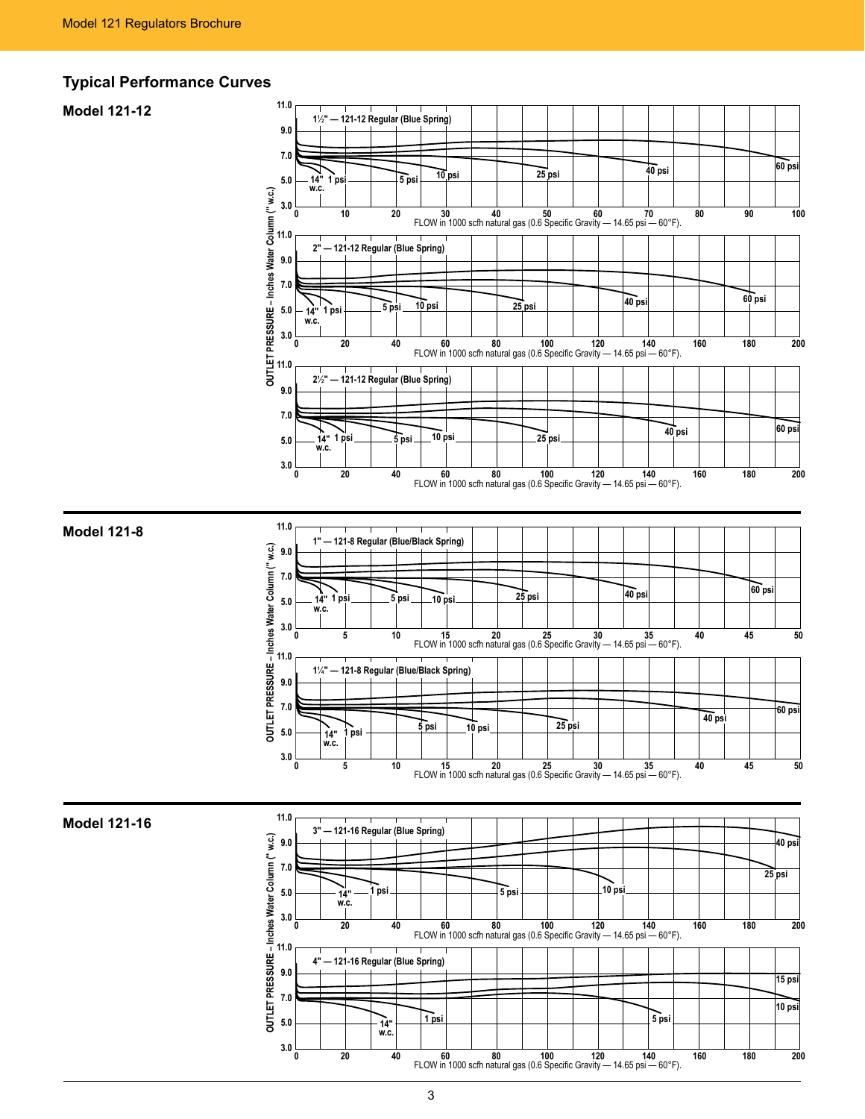### **Typical Performance Curves**

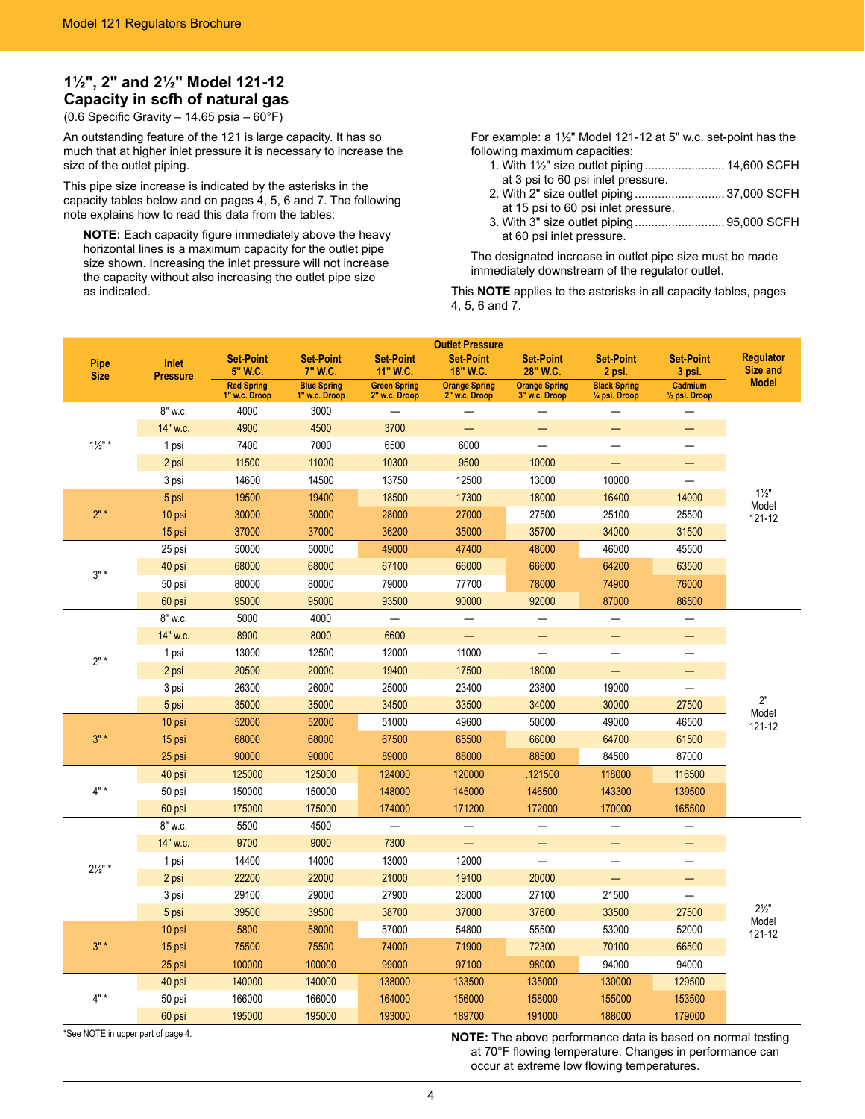# **1½", 2" and 2½" Model 121-12 Capacity in scfh of natural gas**

(0.6 Specific Gravity – 14.65 psia –  $60^{\circ}$ F)

An outstanding feature of the 121 is large capacity. It has so much that at higher inlet pressure it is necessary to increase the size of the outlet piping.

This pipe size increase is indicated by the asterisks in the capacity tables below and on pages 4, 5, 6 and 7. The following note explains how to read this data from the tables:

**NOTE:** Each capacity figure immediately above the heavy horizontal lines is a maximum capacity for the outlet pipe size shown. Increasing the inlet pressure will not increase the capacity without also increasing the outlet pipe size as indicated.

For example: a 1½" Model 121-12 at 5" w.c. set-point has the following maximum capacities:

- 1. With 1½" size outlet piping........................ 14,600 SCFH at 3 psi to 60 psi inlet pressure.
- 2. With 2" size outlet piping........................... 37,000 SCFH
- at 15 psi to 60 psi inlet pressure.
- 3. With 3" size outlet piping........................... 95,000 SCFH at 60 psi inlet pressure.

The designated increase in outlet pipe size must be made immediately downstream of the regulator outlet.

This **NOTE** applies to the asterisks in all capacity tables, pages 4, 5, 6 and 7.

| <b>Outlet Pressure</b> |                          |                                    |                                     |                                      |                                       |                                       |                                       |                                     |                              |
|------------------------|--------------------------|------------------------------------|-------------------------------------|--------------------------------------|---------------------------------------|---------------------------------------|---------------------------------------|-------------------------------------|------------------------------|
| Pipe<br><b>Size</b>    | Inlet<br><b>Pressure</b> | <b>Set-Point</b><br>5" W.C.        | <b>Set-Point</b><br>7" W.C.         | <b>Set-Point</b><br>11" W.C.         | <b>Set-Point</b><br>18" W.C.          | <b>Set-Point</b><br>28" W.C.          | <b>Set-Point</b><br>2 psi.            | <b>Set-Point</b><br>3 psi.          | <b>Regulator</b><br>Size and |
|                        |                          | <b>Red Spring</b><br>1" w.c. Droop | <b>Blue Spring</b><br>1" w.c. Droop | <b>Green Spring</b><br>2" w.c. Droop | <b>Orange Spring</b><br>2" w.c. Droop | <b>Orange Spring</b><br>3" w.c. Droop | <b>Black Spring</b><br>1/4 psi. Droop | Cadmium<br>$\frac{1}{2}$ psi. Droop | <b>Model</b>                 |
|                        | 8" w.c.                  | 4000                               | 3000                                |                                      |                                       |                                       |                                       |                                     |                              |
|                        | 14" w.c.                 | 4900                               | 4500                                | 3700                                 | $\overline{\phantom{0}}$              |                                       | —                                     |                                     |                              |
| $1\frac{1}{2}$ " *     | 1 psi                    | 7400                               | 7000                                | 6500                                 | 6000                                  | $\overline{\phantom{0}}$              | $\overline{\phantom{0}}$              |                                     |                              |
|                        | 2 psi                    | 11500                              | 11000                               | 10300                                | 9500                                  | 10000                                 |                                       | ═                                   |                              |
|                        | 3 psi                    | 14600                              | 14500                               | 13750                                | 12500                                 | 13000                                 | 10000                                 |                                     |                              |
|                        | 5 psi                    | 19500                              | 19400                               | 18500                                | 17300                                 | 18000                                 | 16400                                 | 14000                               | $1\frac{1}{2}$               |
| $2"$ *                 | 10 psi                   | 30000                              | 30000                               | 28000                                | 27000                                 | 27500                                 | 25100                                 | 25500                               | Model<br>121-12              |
|                        | 15 psi                   | 37000                              | 37000                               | 36200                                | 35000                                 | 35700                                 | 34000                                 | 31500                               |                              |
|                        | 25 psi                   | 50000                              | 50000                               | 49000                                | 47400                                 | 48000                                 | 46000                                 | 45500                               |                              |
| $3" *$                 | 40 psi                   | 68000                              | 68000                               | 67100                                | 66000                                 | 66600                                 | 64200                                 | 63500                               |                              |
|                        | 50 psi                   | 80000                              | 80000                               | 79000                                | 77700                                 | 78000                                 | 74900                                 | 76000                               |                              |
|                        | 60 psi                   | 95000                              | 95000                               | 93500                                | 90000                                 | 92000                                 | 87000                                 | 86500                               |                              |
|                        | 8" w.c.                  | 5000                               | 4000                                |                                      |                                       |                                       | $\overline{\phantom{0}}$              |                                     |                              |
|                        | 14" w.c.                 | 8900                               | 8000                                | 6600                                 | $\overline{\phantom{0}}$              | —                                     | —                                     |                                     |                              |
| $2"$ *                 | 1 psi                    | 13000                              | 12500                               | 12000                                | 11000                                 | $\overline{\phantom{0}}$              | $\overline{\phantom{0}}$              |                                     | $2"$<br>Model                |
|                        | 2 psi                    | 20500                              | 20000                               | 19400                                | 17500                                 | 18000                                 | $\equiv$                              |                                     |                              |
|                        | 3 psi                    | 26300                              | 26000                               | 25000                                | 23400                                 | 23800                                 | 19000                                 | $\overline{\phantom{0}}$            |                              |
|                        | 5 psi                    | 35000                              | 35000                               | 34500                                | 33500                                 | 34000                                 | 30000                                 | 27500                               |                              |
|                        | 10 psi                   | 52000                              | 52000                               | 51000                                | 49600                                 | 50000                                 | 49000                                 | 46500                               | 121-12                       |
| $3" *$                 | 15 psi                   | 68000                              | 68000                               | 67500                                | 65500                                 | 66000                                 | 64700                                 | 61500                               |                              |
|                        | 25 psi                   | 90000                              | 90000                               | 89000                                | 88000                                 | 88500                                 | 84500                                 | 87000                               |                              |
|                        | 40 psi                   | 125000                             | 125000                              | 124000                               | 120000                                | .121500                               | 118000                                | 116500                              |                              |
| $4"$ *                 | 50 psi                   | 150000                             | 150000                              | 148000                               | 145000                                | 146500                                | 143300                                | 139500                              |                              |
|                        | 60 psi                   | 175000                             | 175000                              | 174000                               | 171200                                | 172000                                | 170000                                | 165500                              |                              |
|                        | 8" w.c.                  | 5500                               | 4500                                |                                      |                                       |                                       | —                                     |                                     |                              |
|                        | 14" w.c.                 | 9700                               | 9000                                | 7300                                 | ÷                                     | —                                     | —                                     |                                     |                              |
| $2\frac{1}{2}$ " *     | 1 psi                    | 14400                              | 14000                               | 13000                                | 12000                                 | $\overline{\phantom{0}}$              | $\overline{\phantom{0}}$              |                                     |                              |
|                        | 2 psi                    | 22200                              | 22000                               | 21000                                | 19100                                 | 20000                                 |                                       | —                                   |                              |
|                        | 3 psi                    | 29100                              | 29000                               | 27900                                | 26000                                 | 27100                                 | 21500                                 | $\qquad \qquad -$                   |                              |
|                        | 5 psi                    | 39500                              | 39500                               | 38700                                | 37000                                 | 37600                                 | 33500                                 | 27500                               | $2\frac{1}{2}$<br>Model      |
|                        | 10 psi                   | 5800                               | 58000                               | 57000                                | 54800                                 | 55500                                 | 53000                                 | 52000                               | 121-12                       |
| $3"$ *                 | 15 psi                   | 75500                              | 75500                               | 74000                                | 71900                                 | 72300                                 | 70100                                 | 66500                               |                              |
|                        | 25 psi                   | 100000                             | 100000                              | 99000                                | 97100                                 | 98000                                 | 94000                                 | 94000                               |                              |
|                        | 40 psi                   | 140000                             | 140000                              | 138000                               | 133500                                | 135000                                | 130000                                | 129500                              |                              |
| $4"$ *                 | 50 psi                   | 166000                             | 166000                              | 164000                               | 156000                                | 158000                                | 155000                                | 153500                              |                              |
|                        | 60 psi                   | 195000                             | 195000                              | 193000                               | 189700                                | 191000                                | 188000                                | 179000                              |                              |

\*See NOTE in upper part of page 4. **NOTE:** The above performance data is based on normal testing at 70°F flowing temperature. Changes in performance can occur at extreme low flowing temperatures.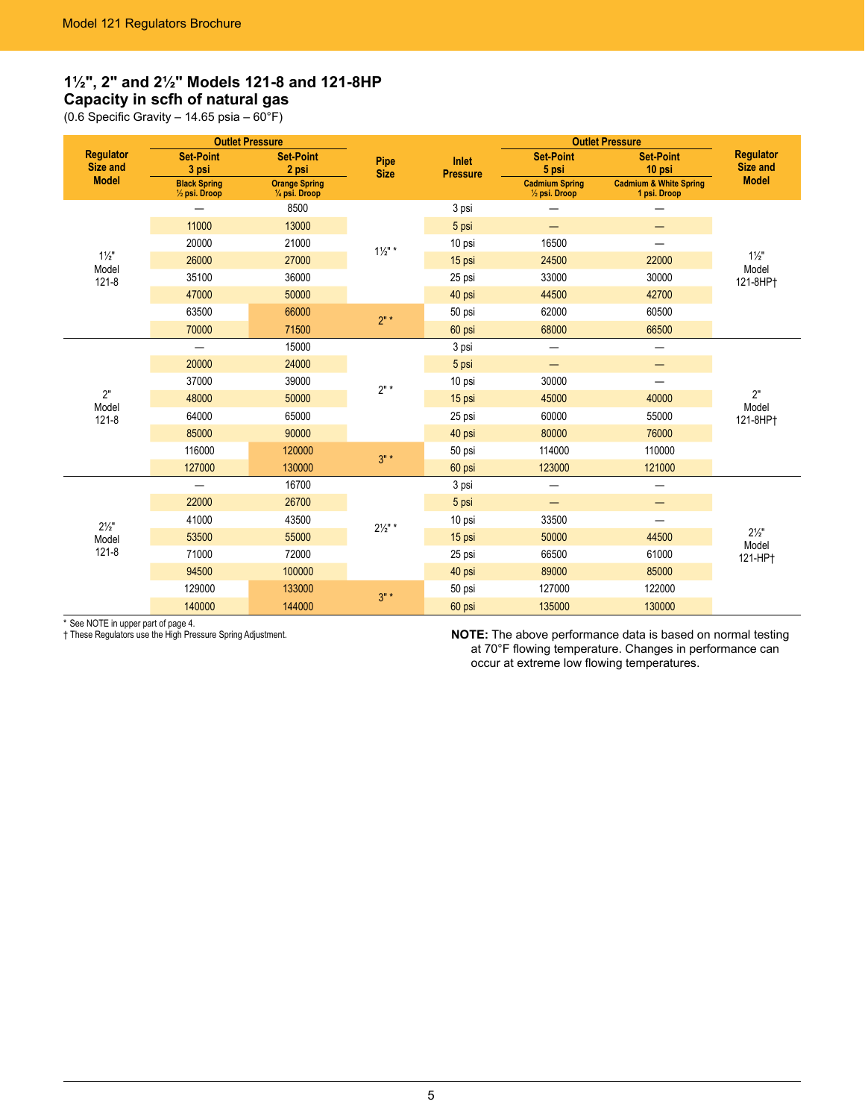# **1½", 2" and 2½" Models 121-8 and 121-8HP Capacity in scfh of natural gas**

(0.6 Specific Gravity – 14.65 psia – 60°F)

|                              | <b>Outlet Pressure</b>                |                                        |                     |                          | <b>Outlet Pressure</b>                            |                                                   |                                     |
|------------------------------|---------------------------------------|----------------------------------------|---------------------|--------------------------|---------------------------------------------------|---------------------------------------------------|-------------------------------------|
| <b>Regulator</b><br>Size and | <b>Set-Point</b><br>3 psi             | <b>Set-Point</b><br>2 psi              | Pipe<br><b>Size</b> | Inlet<br><b>Pressure</b> | <b>Set-Point</b><br>5 psi                         | <b>Set-Point</b><br>10 psi                        | <b>Regulator</b><br><b>Size and</b> |
| <b>Model</b>                 | <b>Black Spring</b><br>1/2 psi. Droop | <b>Orange Spring</b><br>1/4 psi. Droop |                     |                          | <b>Cadmium Spring</b><br>$\frac{1}{2}$ psi. Droop | <b>Cadmium &amp; White Spring</b><br>1 psi. Droop | <b>Model</b>                        |
|                              |                                       | 8500                                   |                     | 3 psi                    |                                                   |                                                   |                                     |
|                              | 11000                                 | 13000                                  |                     | 5 psi                    | —                                                 |                                                   |                                     |
|                              | 20000                                 | 21000                                  | $1\frac{1}{2}$ " *  | 10 psi                   | 16500                                             |                                                   |                                     |
| $1\frac{1}{2}$ "<br>Model    | 26000                                 | 27000                                  |                     | 15 psi                   | 24500                                             | 22000                                             | $1\frac{1}{2}$<br>Model             |
| $121 - 8$                    | 35100                                 | 36000                                  |                     | 25 psi                   | 33000                                             | 30000                                             | 121-8HP <sup>+</sup>                |
|                              | 47000                                 | 50000                                  |                     | 40 psi                   | 44500                                             | 42700                                             |                                     |
|                              | 63500                                 | 66000                                  | $2"$ *              | 50 psi                   | 62000                                             | 60500                                             |                                     |
|                              | 70000                                 | 71500                                  |                     | 60 psi                   | 68000                                             | 66500                                             |                                     |
|                              |                                       | 15000                                  |                     | 3 psi                    | $\overline{\phantom{0}}$                          | —                                                 |                                     |
|                              | 20000                                 | 24000                                  |                     | 5 psi                    | —                                                 | —                                                 |                                     |
|                              | 37000                                 | 39000                                  | $2"$ *              | 10 psi                   | 30000                                             | $\overline{\phantom{0}}$                          |                                     |
| 2"<br>Model                  | 48000                                 | 50000                                  |                     | 15 psi                   | 45000                                             | 40000                                             | 2"<br>Model                         |
| $121 - 8$                    | 64000                                 | 65000                                  |                     | 25 psi                   | 60000                                             | 55000                                             | 121-8HP <sup>+</sup>                |
|                              | 85000                                 | 90000                                  |                     | 40 psi                   | 80000                                             | 76000                                             |                                     |
|                              | 116000                                | 120000                                 | $3" *$              | 50 psi                   | 114000                                            | 110000                                            |                                     |
|                              | 127000                                | 130000                                 |                     | 60 psi                   | 123000                                            | 121000                                            |                                     |
|                              | $\overline{\phantom{0}}$              | 16700                                  |                     | 3 psi                    | —                                                 | —                                                 |                                     |
|                              | 22000                                 | 26700                                  |                     | 5 psi                    | —                                                 | —                                                 |                                     |
| $2\frac{1}{2}$ "             | 41000                                 | 43500                                  | $2\frac{1}{2}$ " *  | 10 psi                   | 33500                                             |                                                   |                                     |
| Model                        | 53500                                 | 55000                                  |                     | 15 psi                   | 50000                                             | 44500                                             | $2\frac{1}{2}$ "                    |
| $121 - 8$                    | 71000                                 | 72000                                  |                     | 25 psi                   | 66500                                             | 61000                                             | Model<br>121-HP†                    |
|                              | 94500                                 | 100000                                 |                     | 40 psi                   | 89000                                             | 85000                                             |                                     |
|                              | 129000                                | 133000                                 | $3" *$              | 50 psi                   | 127000                                            | 122000                                            |                                     |
|                              | 140000                                | 144000                                 |                     | 60 psi                   | 135000                                            | 130000                                            |                                     |

\* See NOTE in upper part of page 4.<br>† These Regulators use the High Pressure Spring Adjustment.

† These Regulators use the High Pressure Spring Adjustment. **NOTE:** The above performance data is based on normal testing at 70°F flowing temperature. Changes in performance can occur at extreme low flowing temperatures.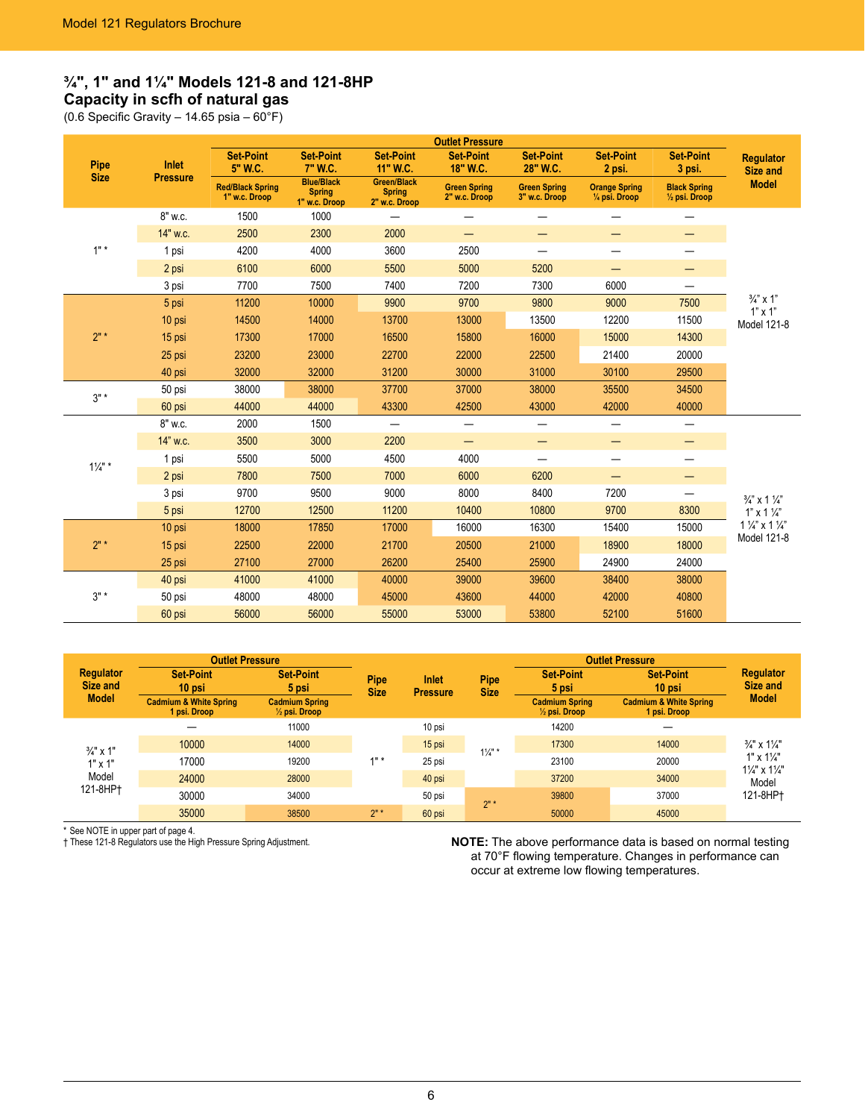# **¾", 1" and 1¼" Models 121-8 and 121-8HP Capacity in scfh of natural gas**

(0.6 Specific Gravity – 14.65 psia –  $60^{\circ}$ F)

| <b>Outlet Pressure</b> |                 |                                          |                                                     |                                               |                                      |                                      |                                                  |                                                 |                                        |
|------------------------|-----------------|------------------------------------------|-----------------------------------------------------|-----------------------------------------------|--------------------------------------|--------------------------------------|--------------------------------------------------|-------------------------------------------------|----------------------------------------|
| Pipe                   | Inlet           | <b>Set-Point</b><br>5" W.C.              | <b>Set-Point</b><br>7" W.C.                         | <b>Set-Point</b><br>11" W.C.                  | <b>Set-Point</b><br>18" W.C.         | <b>Set-Point</b><br>28" W.C.         | <b>Set-Point</b><br>2 psi.                       | <b>Set-Point</b><br>3 psi.                      | <b>Regulator</b><br>Size and           |
| <b>Size</b>            | <b>Pressure</b> | <b>Red/Black Spring</b><br>1" w.c. Droop | <b>Blue/Black</b><br><b>Spring</b><br>1" w.c. Droop | Green/Black<br><b>Spring</b><br>2" w.c. Droop | <b>Green Spring</b><br>2" w.c. Droop | <b>Green Spring</b><br>3" w.c. Droop | <b>Orange Spring</b><br>$\frac{1}{4}$ psi. Droop | <b>Black Spring</b><br>$\frac{1}{2}$ psi. Droop | <b>Model</b>                           |
|                        | 8" w.c.         | 1500                                     | 1000                                                | $\overline{\phantom{0}}$                      |                                      |                                      |                                                  | —                                               |                                        |
|                        | 14" w.c.        | 2500                                     | 2300                                                | 2000                                          | $\overline{\phantom{0}}$             | —                                    | -                                                | –                                               |                                        |
| $1"$ *                 | 1 psi           | 4200                                     | 4000                                                | 3600                                          | 2500                                 |                                      | —                                                |                                                 |                                        |
|                        | 2 psi           | 6100                                     | 6000                                                | 5500                                          | 5000                                 | 5200                                 | —                                                | —                                               |                                        |
|                        | 3 psi           | 7700                                     | 7500                                                | 7400                                          | 7200                                 | 7300                                 | 6000                                             | $\qquad \qquad$                                 |                                        |
|                        | 5 psi           | 11200                                    | 10000                                               | 9900                                          | 9700                                 | 9800                                 | 9000                                             | 7500                                            | $\frac{3}{4}$ " x 1"<br>$1" \times 1"$ |
|                        | 10 psi          | 14500                                    | 14000                                               | 13700                                         | 13000                                | 13500                                | 12200                                            | 11500                                           | Model 121-8                            |
| $2"$ *                 | 15 psi          | 17300                                    | 17000                                               | 16500                                         | 15800                                | 16000                                | 15000                                            | 14300                                           |                                        |
|                        | 25 psi          | 23200                                    | 23000                                               | 22700                                         | 22000                                | 22500                                | 21400                                            | 20000                                           |                                        |
|                        | 40 psi          | 32000                                    | 32000                                               | 31200                                         | 30000                                | 31000                                | 30100                                            | 29500                                           |                                        |
| $3" *$                 | 50 psi          | 38000                                    | 38000                                               | 37700                                         | 37000                                | 38000                                | 35500                                            | 34500                                           |                                        |
|                        | 60 psi          | 44000                                    | 44000                                               | 43300                                         | 42500                                | 43000                                | 42000                                            | 40000                                           |                                        |
|                        | 8" w.c.         | 2000                                     | 1500                                                | $\qquad \qquad -$                             | $\overline{\phantom{0}}$             |                                      | $\overline{\phantom{0}}$                         |                                                 |                                        |
|                        | 14" w.c.        | 3500                                     | 3000                                                | 2200                                          | —                                    | —                                    | —                                                |                                                 |                                        |
| $1\frac{1}{4}$ " *     | 1 psi           | 5500                                     | 5000                                                | 4500                                          | 4000                                 |                                      | —                                                | —                                               |                                        |
|                        | 2 psi           | 7800                                     | 7500                                                | 7000                                          | 6000                                 | 6200                                 | —                                                | —                                               |                                        |
|                        | 3 psi           | 9700                                     | 9500                                                | 9000                                          | 8000                                 | 8400                                 | 7200                                             |                                                 | $\frac{3}{4}$ " x 1 $\frac{1}{4}$ "    |
|                        | 5 psi           | 12700                                    | 12500                                               | 11200                                         | 10400                                | 10800                                | 9700                                             | 8300                                            | $1"$ x 1 $\frac{1}{4"}$                |
|                        | 10 psi          | 18000                                    | 17850                                               | 17000                                         | 16000                                | 16300                                | 15400                                            | 15000                                           | $1\frac{1}{4}$ x $1\frac{1}{4}$        |
| 2"                     | 15 psi          | 22500                                    | 22000                                               | 21700                                         | 20500                                | 21000                                | 18900                                            | 18000                                           | Model 121-8                            |
|                        | 25 psi          | 27100                                    | 27000                                               | 26200                                         | 25400                                | 25900                                | 24900                                            | 24000                                           |                                        |
|                        | 40 psi          | 41000                                    | 41000                                               | 40000                                         | 39000                                | 39600                                | 38400                                            | 38000                                           |                                        |
| $3"$ *                 | 50 psi          | 48000                                    | 48000                                               | 45000                                         | 43600                                | 44000                                | 42000                                            | 40800                                           |                                        |
|                        | 60 psi          | 56000                                    | 56000                                               | 55000                                         | 53000                                | 53800                                | 52100                                            | 51600                                           |                                        |

|                                              |                                                   | <b>Outlet Pressure</b>                            |                     |                                 |                            | <b>Outlet Pressure</b>                            |                                                   |                                                                 |
|----------------------------------------------|---------------------------------------------------|---------------------------------------------------|---------------------|---------------------------------|----------------------------|---------------------------------------------------|---------------------------------------------------|-----------------------------------------------------------------|
| <b>Regulator</b><br>Size and<br><b>Model</b> | <b>Set-Point</b><br>10 psi                        | <b>Set-Point</b><br>5 psi                         | Pipe<br><b>Size</b> | <b>Inlet</b><br><b>Pressure</b> | <b>Pipe</b><br><b>Size</b> | <b>Set-Point</b><br>5 psi                         | <b>Set-Point</b><br>10 psi                        | <b>Regulator</b><br>Size and                                    |
|                                              | <b>Cadmium &amp; White Spring</b><br>1 psi. Droop | <b>Cadmium Spring</b><br>$\frac{1}{2}$ psi. Droop |                     |                                 |                            | <b>Cadmium Spring</b><br>$\frac{1}{2}$ psi. Droop | <b>Cadmium &amp; White Spring</b><br>1 psi. Droop | <b>Model</b>                                                    |
|                                              |                                                   | 11000                                             |                     | 10 psi                          |                            | 14200                                             |                                                   | $\frac{3}{4}$ " x 1 $\frac{1}{4}$ "                             |
| $\frac{3}{4}$ " x 1"                         | 10000                                             | 14000                                             |                     | 15 psi                          | $1\frac{1}{4}$ " *         | 17300                                             | 14000                                             |                                                                 |
| $1" \times 1"$                               | 17000                                             | 19200                                             | $4"$ *              | 25 psi                          |                            | 23100                                             | 20000                                             | $1" \times 1\frac{1}{4"$<br>$1\frac{1}{4}$ " x $1\frac{1}{4}$ " |
| Model<br>121-8HP†                            | 24000                                             | 28000                                             |                     | 40 psi                          |                            | 37200                                             | 34000                                             | Model                                                           |
|                                              | 30000                                             | 34000                                             |                     | 50 psi                          | $2"$ *                     | 39800                                             | 37000                                             | 121-8HP1                                                        |
|                                              | 35000                                             | 38500                                             | 2"                  | 60 psi                          |                            | 50000                                             | 45000                                             |                                                                 |

\* See NOTE in upper part of page 4.<br>† These 121-8 Regulators use the High Pressure Spring Adjustment.

**NOTE:** The above performance data is based on normal testing at 70°F flowing temperature. Changes in performance can occur at extreme low flowing temperatures.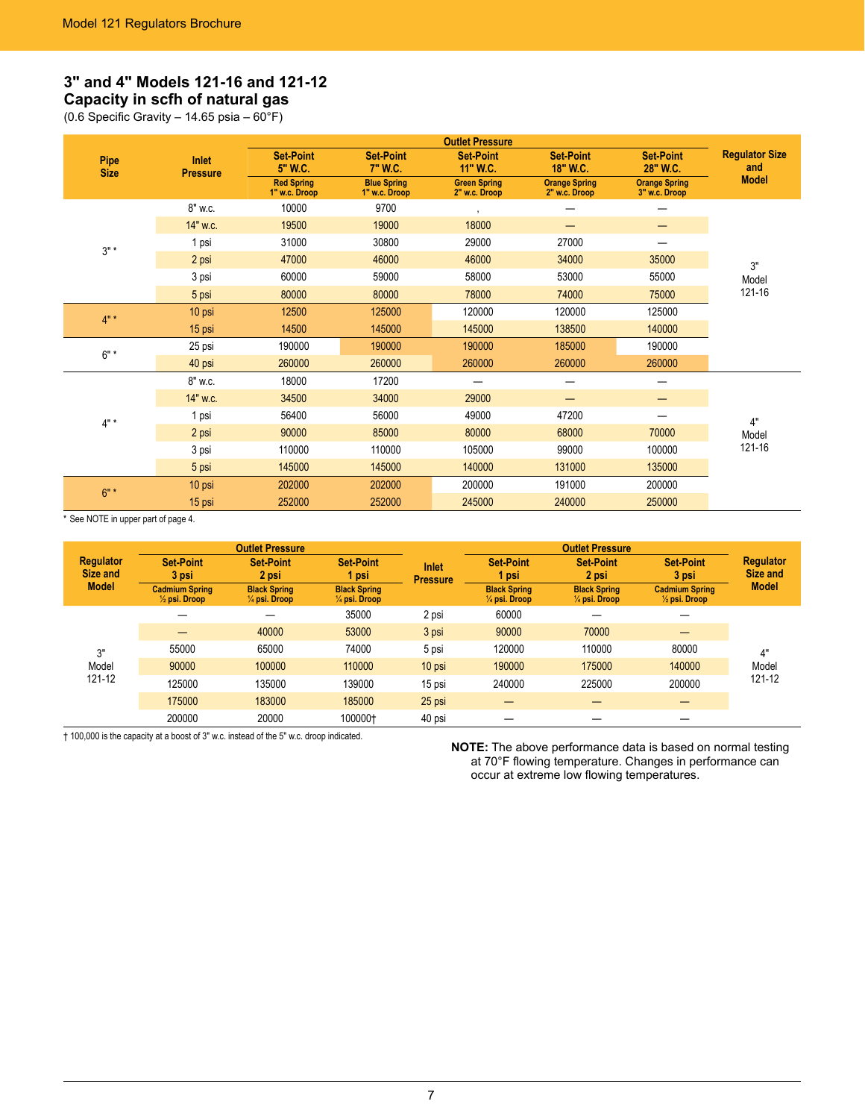# **3" and 4" Models 121-16 and 121-12 Capacity in scfh of natural gas**

(0.6 Specific Gravity – 14.65 psia – 60°F)

|                     |                                 |                                    |                                     | <b>Outlet Pressure</b>               |                                       |                                       |                              |
|---------------------|---------------------------------|------------------------------------|-------------------------------------|--------------------------------------|---------------------------------------|---------------------------------------|------------------------------|
| Pipe<br><b>Size</b> | <b>Inlet</b><br><b>Pressure</b> | <b>Set-Point</b><br>5" W.C.        | <b>Set-Point</b><br>7" W.C.         | <b>Set-Point</b><br>11" W.C.         | <b>Set-Point</b><br>18" W.C.          | <b>Set-Point</b><br>28" W.C.          | <b>Regulator Size</b><br>and |
|                     |                                 | <b>Red Spring</b><br>1" w.c. Droop | <b>Blue Spring</b><br>1" w.c. Droop | <b>Green Spring</b><br>2" w.c. Droop | <b>Orange Spring</b><br>2" w.c. Droop | <b>Orange Spring</b><br>3" w.c. Droop | <b>Model</b>                 |
|                     | 8" w.c.                         | 10000                              | 9700                                | $\mathbf{r}$                         |                                       |                                       |                              |
|                     | 14" w.c.                        | 19500                              | 19000                               | 18000                                | —                                     | —                                     |                              |
| $3"$ *              | 1 psi                           | 31000                              | 30800                               | 29000                                | 27000                                 |                                       |                              |
|                     | 2 psi                           | 47000                              | 46000                               | 46000                                | 34000                                 | 35000                                 | 3"                           |
|                     | 3 psi                           | 60000                              | 59000                               | 58000                                | 53000                                 | 55000                                 | Model                        |
|                     | 5 psi                           | 80000                              | 80000                               | 78000                                | 74000                                 | 75000                                 | 121-16                       |
| $4"$ *              | 10 psi                          | 12500                              | 125000                              | 120000                               | 120000                                | 125000                                |                              |
|                     | 15 psi                          | 14500                              | 145000                              | 145000                               | 138500                                | 140000                                |                              |
| $6"$ *              | 25 psi                          | 190000                             | 190000                              | 190000                               | 185000                                | 190000                                |                              |
|                     | 40 psi                          | 260000                             | 260000                              | 260000                               | 260000                                | 260000                                |                              |
|                     | 8" w.c.                         | 18000                              | 17200                               |                                      | —                                     | —                                     |                              |
|                     | 14" w.c.                        | 34500                              | 34000                               | 29000                                | —                                     |                                       |                              |
| $4" *$              | 1 psi                           | 56400                              | 56000                               | 49000                                | 47200                                 | —                                     | 4"                           |
|                     | 2 psi                           | 90000                              | 85000                               | 80000                                | 68000                                 | 70000                                 | Model                        |
|                     | 3 psi                           | 110000                             | 110000                              | 105000                               | 99000                                 | 100000                                | 121-16                       |
|                     | 5 psi                           | 145000                             | 145000                              | 140000                               | 131000                                | 135000                                |                              |
| $6"$ *              | 10 psi                          | 202000                             | 202000                              | 200000                               | 191000                                | 200000                                |                              |
|                     | 15 psi                          | 252000                             | 252000                              | 245000                               | 240000                                | 250000                                |                              |

\* See NOTE in upper part of page 4.

|                              |                                                   | <b>Outlet Pressure</b>                          |                                                 |                          |                                                 | <b>Outlet Pressure</b>                                                      |                           |                              |
|------------------------------|---------------------------------------------------|-------------------------------------------------|-------------------------------------------------|--------------------------|-------------------------------------------------|-----------------------------------------------------------------------------|---------------------------|------------------------------|
| <b>Regulator</b><br>Size and | <b>Set-Point</b><br>3 psi                         | <b>Set-Point</b><br>2 psi                       | <b>Set-Point</b><br>1 psi                       | Inlet<br><b>Pressure</b> | <b>Set-Point</b><br>1 psi                       | <b>Set-Point</b><br>2 psi                                                   | <b>Set-Point</b><br>3 psi | <b>Regulator</b><br>Size and |
| <b>Model</b>                 | <b>Cadmium Spring</b><br>$\frac{1}{2}$ psi. Droop | <b>Black Spring</b><br>$\frac{1}{4}$ psi. Droop | <b>Black Spring</b><br>$\frac{1}{4}$ psi. Droop |                          | <b>Black Spring</b><br>$\frac{1}{4}$ psi. Droop | <b>Black Spring</b><br>$\frac{1}{2}$ psi. Droop<br>$\frac{1}{4}$ psi. Droop | <b>Cadmium Spring</b>     | <b>Model</b>                 |
|                              |                                                   |                                                 | 35000                                           | 2 psi                    | 60000                                           |                                                                             |                           |                              |
|                              |                                                   | 40000                                           | 53000                                           | 3 psi                    | 90000                                           | 70000                                                                       |                           |                              |
| 3"                           | 55000                                             | 65000                                           | 74000                                           | 5 psi                    | 120000                                          | 110000                                                                      | 80000                     | 4"                           |
| Model                        | 90000                                             | 100000                                          | 110000                                          | 10 psi                   | 190000                                          | 175000                                                                      | 140000                    | Model                        |
| 121-12                       | 125000                                            | 135000                                          | 139000                                          | 15 psi                   | 240000                                          | 225000                                                                      | 200000                    | 121-12                       |
|                              | 175000                                            | 183000                                          | 185000                                          | 25 psi                   |                                                 |                                                                             |                           |                              |
|                              | 200000                                            | 20000                                           | 100000†                                         | 40 psi                   |                                                 |                                                                             |                           |                              |

† 100,000 is the capacity at a boost of 3" w.c. instead of the 5" w.c. droop indicated.

**NOTE:** The above performance data is based on normal testing at 70°F flowing temperature. Changes in performance can occur at extreme low flowing temperatures.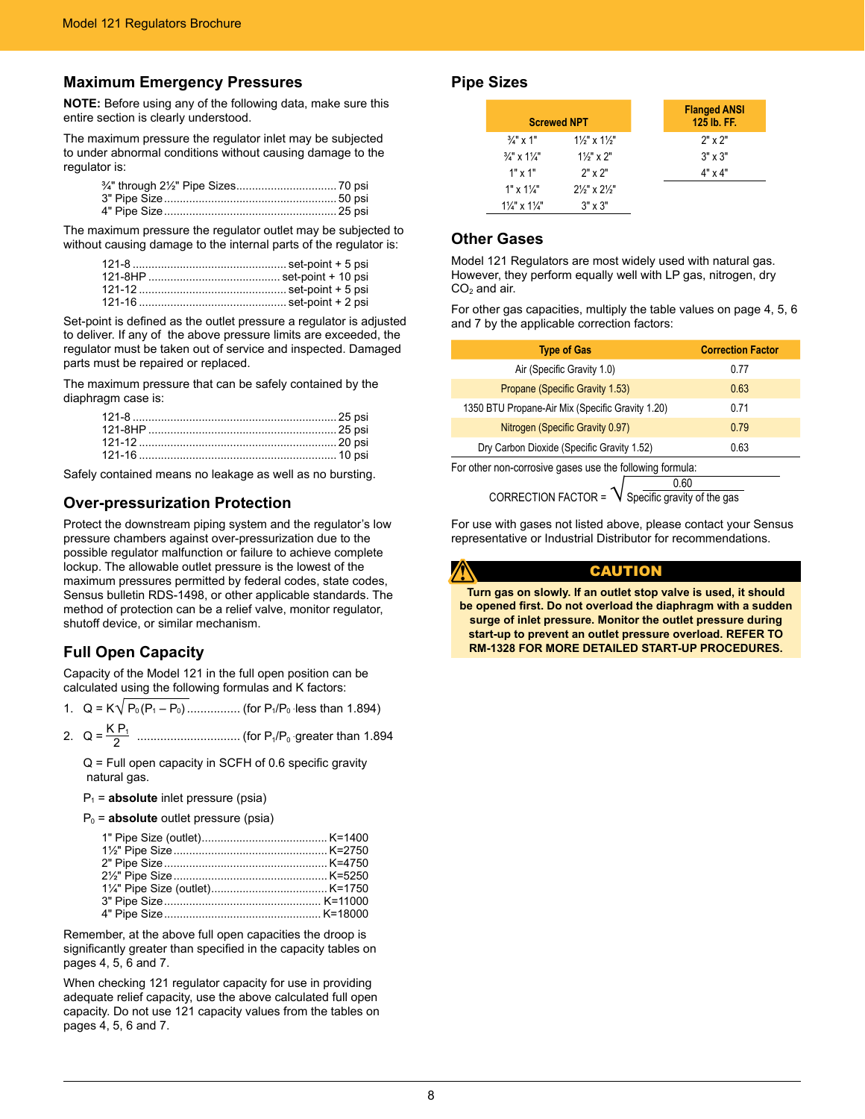### **Maximum Emergency Pressures**

**NOTE:** Before using any of the following data, make sure this entire section is clearly understood.

The maximum pressure the regulator inlet may be subjected to under abnormal conditions without causing damage to the regulator is:

The maximum pressure the regulator outlet may be subjected to without causing damage to the internal parts of the regulator is:

Set-point is defined as the outlet pressure a regulator is adjusted to deliver. If any of the above pressure limits are exceeded, the regulator must be taken out of service and inspected. Damaged parts must be repaired or replaced.

The maximum pressure that can be safely contained by the diaphragm case is:

Safely contained means no leakage as well as no bursting.

### **Over-pressurization Protection**

Protect the downstream piping system and the regulator's low pressure chambers against over-pressurization due to the possible regulator malfunction or failure to achieve complete lockup. The allowable outlet pressure is the lowest of the maximum pressures permitted by federal codes, state codes, Sensus bulletin RDS-1498, or other applicable standards. The method of protection can be a relief valve, monitor regulator, shutoff device, or similar mechanism.

# **Full Open Capacity**

Capacity of the Model 121 in the full open position can be calculated using the following formulas and K factors:

1. Q = K√ P0 (P1 – P0) ................ (for P1/P0 ּ less than 1.894)

2. Q = K P1 <sup>2</sup> ............................... (for P1/P0 ּ greater than 1.894

Q = Full open capacity in SCFH of 0.6 specific gravity natural gas.

#### P1 = **absolute** inlet pressure (psia)

P0 = **absolute** outlet pressure (psia)

Remember, at the above full open capacities the droop is significantly greater than specified in the capacity tables on pages 4, 5, 6 and 7.

When checking 121 regulator capacity for use in providing adequate relief capacity, use the above calculated full open capacity. Do not use 121 capacity values from the tables on pages 4, 5, 6 and 7.

### **Pipe Sizes**

| <b>Screwed NPT</b>                  |                                     | <b>Flanged ANSI</b><br>125 lb. FF. |
|-------------------------------------|-------------------------------------|------------------------------------|
| $\frac{3}{4}$ " x 1"                | $1\frac{1}{2}$ " x $1\frac{1}{2}$ " | $2"$ x $2"$                        |
| $\frac{3}{4}$ " x 1 $\frac{1}{4}$ " | $1\frac{1}{2}$ " x 2"               | $3" \times 3"$                     |
| $1"$ x $1"$                         | $2"$ x $2"$                         | $4" \times 4"$                     |
| $1" \times 1\frac{1}{4"$            | $2\frac{1}{3}$ x $2\frac{1}{3}$     |                                    |
| $1\frac{1}{4}$ " x $1\frac{1}{4}$ " | $3" \times 3"$                      |                                    |

### **Other Gases**

Model 121 Regulators are most widely used with natural gas. However, they perform equally well with LP gas, nitrogen, dry  $CO<sub>2</sub>$  and air.

For other gas capacities, multiply the table values on page 4, 5, 6 and 7 by the applicable correction factors:

| <b>Type of Gas</b>                                       | <b>Correction Factor</b> |  |  |  |
|----------------------------------------------------------|--------------------------|--|--|--|
| Air (Specific Gravity 1.0)                               | 0.77                     |  |  |  |
| Propane (Specific Gravity 1.53)                          | 0.63                     |  |  |  |
| 1350 BTU Propane-Air Mix (Specific Gravity 1.20)         | 0.71                     |  |  |  |
| Nitrogen (Specific Gravity 0.97)                         | 0.79                     |  |  |  |
| Dry Carbon Dioxide (Specific Gravity 1.52)               | 0.63                     |  |  |  |
| For other non-corrosive gases use the following formula: |                          |  |  |  |

CORRECTION FACTOR =  $\sqrt{\frac{0.60}{\text{Specific gravity of the gas}}}$ 

For use with gases not listed above, please contact your Sensus representative or Industrial Distributor for recommendations.

### CAUTION

**Turn gas on slowly. If an outlet stop valve is used, it should be opened first. Do not overload the diaphragm with a sudden surge of inlet pressure. Monitor the outlet pressure during start-up to prevent an outlet pressure overload. REFER TO RM-1328 FOR MORE DETAILED START-UP PROCEDURES.**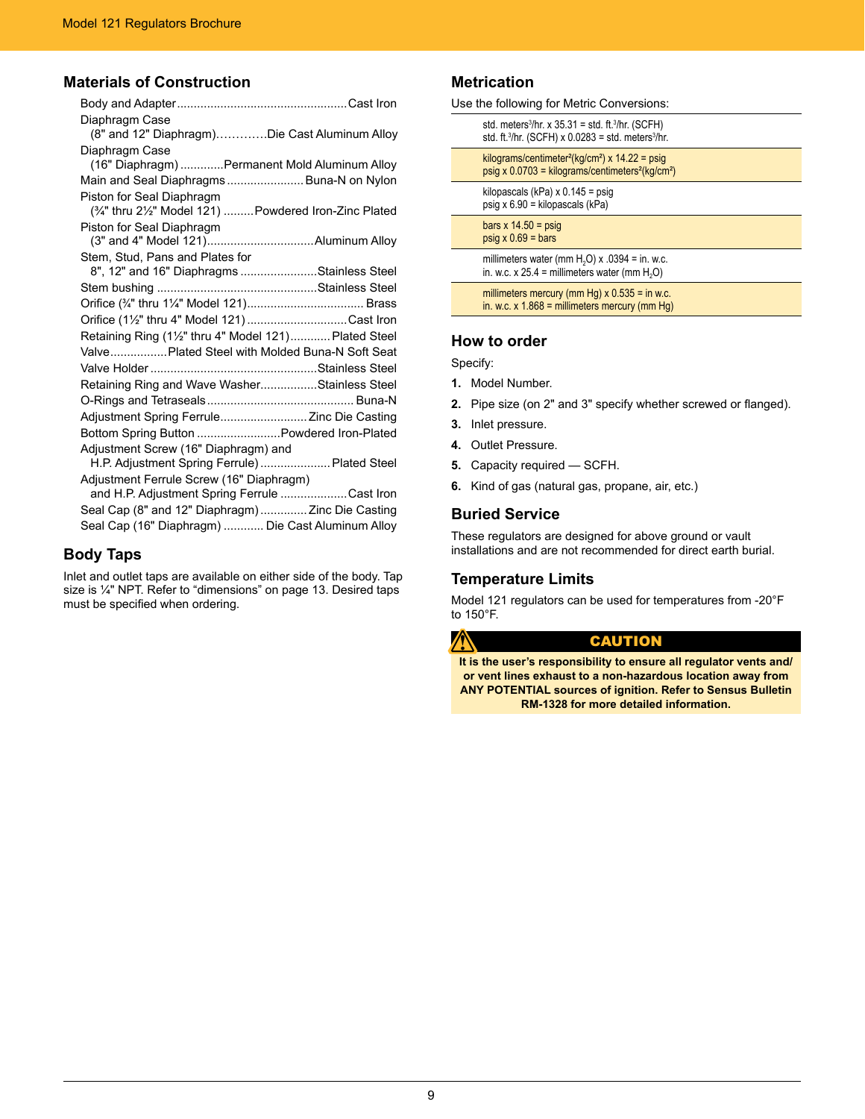# **Materials of Construction**

| Diaphragm Case<br>(8" and 12" Diaphragm)Die Cast Aluminum Alloy                       |
|---------------------------------------------------------------------------------------|
| Diaphragm Case<br>(16" Diaphragm) Permanent Mold Aluminum Alloy                       |
| Main and Seal Diaphragms Buna-N on Nylon                                              |
| Piston for Seal Diaphragm<br>(3/4" thru 21/2" Model 121)  Powdered Iron-Zinc Plated   |
| Piston for Seal Diaphragm                                                             |
|                                                                                       |
| Stem, Stud, Pans and Plates for                                                       |
| 8", 12" and 16" Diaphragms Stainless Steel                                            |
|                                                                                       |
|                                                                                       |
| Orifice (11/2" thru 4" Model 121)Cast Iron                                            |
| Retaining Ring (11/2" thru 4" Model 121) Plated Steel                                 |
| Valve Plated Steel with Molded Buna-N Soft Seat                                       |
|                                                                                       |
| Retaining Ring and Wave WasherStainless Steel                                         |
|                                                                                       |
| Adjustment Spring Ferrule Zinc Die Casting                                            |
| Bottom Spring Button  Powdered Iron-Plated                                            |
| Adjustment Screw (16" Diaphragm) and<br>H.P. Adjustment Spring Ferrule)  Plated Steel |
| Adjustment Ferrule Screw (16" Diaphragm)                                              |
| and H.P. Adjustment Spring Ferrule Cast Iron                                          |
| Seal Cap (8" and 12" Diaphragm)  Zinc Die Casting                                     |
| Seal Cap (16" Diaphragm)  Die Cast Aluminum Alloy                                     |

# **Body Taps**

Inlet and outlet taps are available on either side of the body. Tap size is ¼" NPT. Refer to "dimensions" on page 13. Desired taps must be specified when ordering.

### **Metrication**

| Use the following for Metric Conversions:                                   |  |
|-----------------------------------------------------------------------------|--|
| std. meters <sup>3</sup> /hr. x $35.31 =$ std. ft. <sup>3</sup> /hr. (SCFH) |  |

| std. ft. $3/hr$ . (SCFH) x 0.0283 = std. meters $3/hr$ .                                                                                             |
|------------------------------------------------------------------------------------------------------------------------------------------------------|
| kilograms/centimeter <sup>2</sup> (kg/cm <sup>2</sup> ) x 14.22 = psig<br>psig x $0.0703$ = kilograms/centimeters <sup>2</sup> (kg/cm <sup>2</sup> ) |
| kilopascals (kPa) $\times$ 0.145 = psig<br>psig x $6.90$ = kilopascals (kPa)                                                                         |
| bars x $14.50 = \text{psig}$<br>$psiq \times 0.69 = bars$                                                                                            |
| millimeters water (mm $H2O$ ) x .0394 = in. w.c.<br>in. w.c. x 25.4 = millimeters water (mm $H_2O$ )                                                 |
| millimeters mercury (mm Hg) $\times$ 0.535 = in w.c.<br>in. w.c. $x$ 1.868 = millimeters mercury (mm Hq)                                             |

### **How to order**

Specify:

Â

- **1.** Model Number.
- **2.** Pipe size (on 2" and 3" specify whether screwed or flanged).
- **3.** Inlet pressure.
- **4.** Outlet Pressure.
- **5.** Capacity required SCFH.
- **6.** Kind of gas (natural gas, propane, air, etc.)

### **Buried Service**

These regulators are designed for above ground or vault installations and are not recommended for direct earth burial.

### **Temperature Limits**

Model 121 regulators can be used for temperatures from -20°F to 150°F.

# **CAUTION**

**It is the user's responsibility to ensure all regulator vents and/ or vent lines exhaust to a non-hazardous location away from ANY POTENTIAL sources of ignition. Refer to Sensus Bulletin RM-1328 for more detailed information.**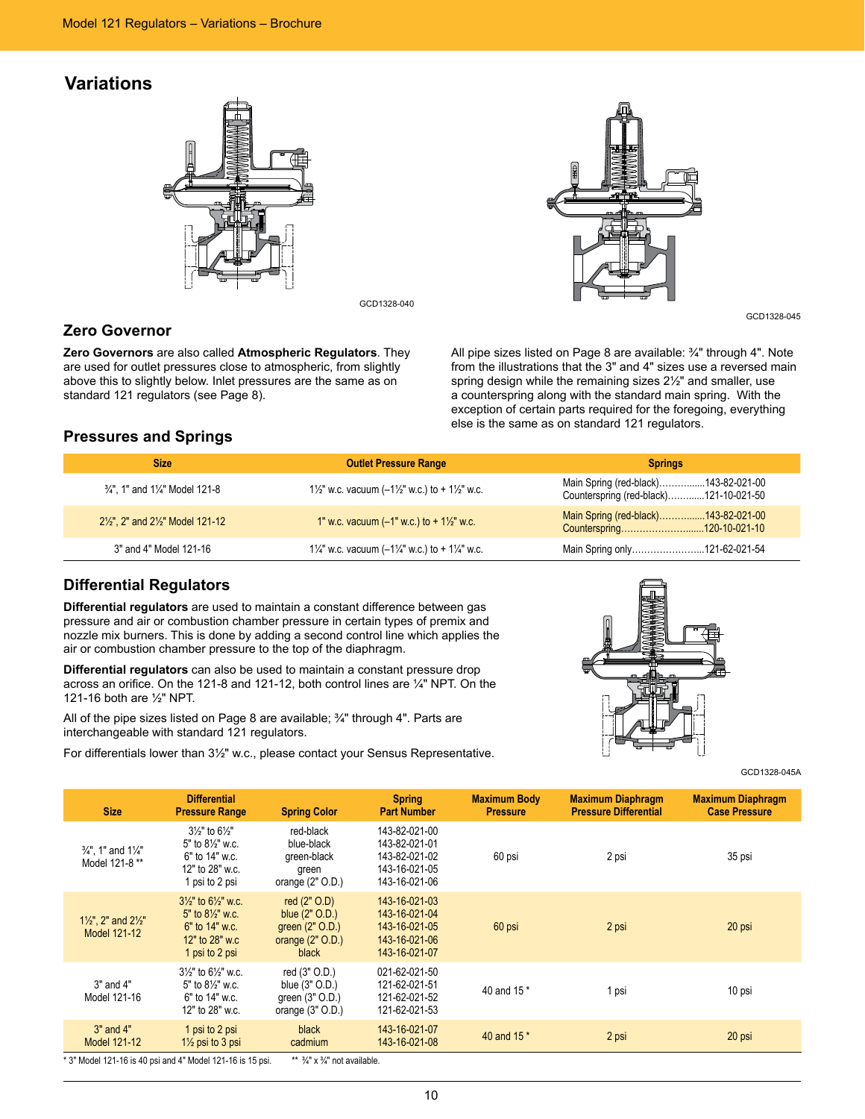# **Variations**



GCD1328-040

# **Zero Governor**

**Zero Governors** are also called **Atmospheric Regulators**. They are used for outlet pressures close to atmospheric, from slightly above this to slightly below. Inlet pressures are the same as on standard 121 regulators (see Page 8).



GCD1328-045

All pipe sizes listed on Page 8 are available: ¾" through 4". Note from the illustrations that the 3" and 4" sizes use a reversed main spring design while the remaining sizes 2½" and smaller, use a counterspring along with the standard main spring. With the exception of certain parts required for the foregoing, everything else is the same as on standard 121 regulators.

### **Pressures and Springs**

| <b>Size</b>                                                                          | <b>Outlet Pressure Range</b>                         | <b>Springs</b>                                                                 |
|--------------------------------------------------------------------------------------|------------------------------------------------------|--------------------------------------------------------------------------------|
| 3/4", 1" and 1/4" Model 121-8                                                        | 1/2" w.c. vacuum $(-1)/2$ " w.c.) to + 1/2" w.c.     | Main Spring (red-black)143-82-021-00<br>Counterspring (red-black)121-10-021-50 |
| 2 <sup>1</sup> / <sub>2</sub> ", 2" and 2 <sup>1</sup> / <sub>2</sub> " Model 121-12 | 1" w.c. vacuum $(-1"$ w.c.) to $+1\frac{1}{2}"$ w.c. | Main Spring (red-black)143-82-021-00                                           |
| 3" and 4" Model 121-16                                                               | 11/4" w.c. vacuum $(-1)/4$ " w.c.) to + 11/4" w.c.   | Main Spring only121-62-021-54                                                  |

### **Differential Regulators**

**Differential regulators** are used to maintain a constant difference between gas pressure and air or combustion chamber pressure in certain types of premix and nozzle mix burners. This is done by adding a second control line which applies the air or combustion chamber pressure to the top of the diaphragm.

**Differential regulators** can also be used to maintain a constant pressure drop across an orifice. On the 121-8 and 121-12, both control lines are ¼" NPT. On the 121-16 both are ½" NPT.

All of the pipe sizes listed on Page 8 are available;  $\frac{3}{4}$ " through 4". Parts are interchangeable with standard 121 regulators.

For differentials lower than 3½" w.c., please contact your Sensus Representative.



GCD1328-045A

| <b>Size</b>                                                 | <b>Differential</b><br><b>Pressure Range</b>                                                                                 | <b>Spring Color</b>                                                                  | <b>Spring</b><br><b>Part Number</b>                                               | <b>Maximum Body</b><br><b>Pressure</b> | <b>Maximum Diaphragm</b><br><b>Pressure Differential</b> | <b>Maximum Diaphragm</b><br><b>Case Pressure</b> |
|-------------------------------------------------------------|------------------------------------------------------------------------------------------------------------------------------|--------------------------------------------------------------------------------------|-----------------------------------------------------------------------------------|----------------------------------------|----------------------------------------------------------|--------------------------------------------------|
| $\frac{3}{4}$ ", 1" and 1 $\frac{1}{4}$ "<br>Model 121-8 ** | $3\frac{1}{2}$ " to $6\frac{1}{2}$ "<br>$5"$ to $8\frac{1}{2}"$ w.c.<br>6" to 14" w.c.<br>12" to 28" w.c.<br>1 psi to 2 psi  | red-black<br>blue-black<br>green-black<br>green<br>orange $(2"$ O.D.)                | 143-82-021-00<br>143-82-021-01<br>143-82-021-02<br>143-16-021-05<br>143-16-021-06 | 60 psi                                 | 2 psi                                                    | 35 psi                                           |
| $1\frac{1}{2}$ ", 2" and $2\frac{1}{2}$ "<br>Model 121-12   | $3\frac{1}{2}$ to 6 $\frac{1}{2}$ w.c.<br>$5"$ to $8\frac{1}{2}"$ w.c.<br>6" to 14" w.c.<br>12" to 28" w.c<br>1 psi to 2 psi | red $(2"$ O.D)<br>blue $(2"$ O.D.)<br>green (2" O.D.)<br>orange $(2"$ O.D.)<br>black | 143-16-021-03<br>143-16-021-04<br>143-16-021-05<br>143-16-021-06<br>143-16-021-07 | 60 psi                                 | 2 psi                                                    | 20 psi                                           |
| $3"$ and $4"$<br>Model 121-16                               | $3\frac{1}{2}$ " to 6 $\frac{1}{2}$ " w.c.<br>$5"$ to $8\frac{1}{3}"$ w.c.<br>6" to 14" w.c.<br>12" to 28" w.c.              | red (3" O.D.)<br>blue (3" O.D.)<br>green (3" O.D.)<br>orange $(3"$ O.D.)             | 021-62-021-50<br>121-62-021-51<br>121-62-021-52<br>121-62-021-53                  | 40 and 15 *                            | 1 psi                                                    | 10 psi                                           |
| 3" and 4"<br>Model 121-12                                   | 1 psi to 2 psi<br>$1\frac{1}{2}$ psi to 3 psi                                                                                | black<br>cadmium                                                                     | 143-16-021-07<br>143-16-021-08                                                    | 40 and 15 *                            | 2 psi                                                    | 20 psi                                           |

\* 3" Model 121-16 is 40 psi and 4" Model 121-16 is 15 psi.  $*$  \*  $\frac{3}{4}$ " x  $\frac{3}{4}$ " not available.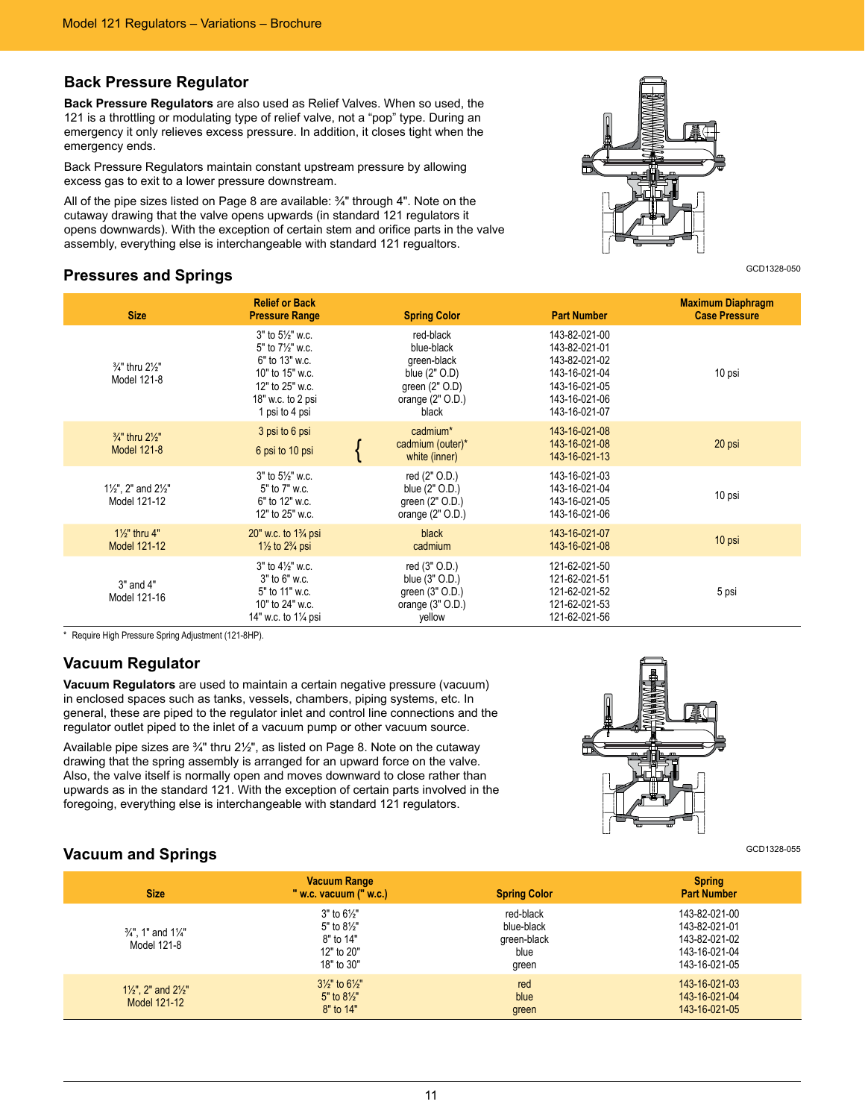### **Back Pressure Regulator**

**Back Pressure Regulators** are also used as Relief Valves. When so used, the 121 is a throttling or modulating type of relief valve, not a "pop" type. During an emergency it only relieves excess pressure. In addition, it closes tight when the emergency ends.

Back Pressure Regulators maintain constant upstream pressure by allowing excess gas to exit to a lower pressure downstream.

All of the pipe sizes listed on Page 8 are available: ¾" through 4". Note on the cutaway drawing that the valve opens upwards (in standard 121 regulators it opens downwards). With the exception of certain stem and orifice parts in the valve assembly, everything else is interchangeable with standard 121 regualtors.

### **Pressures and Springs**



GCD1328-050

| <b>Size</b>                                               | <b>Relief or Back</b><br><b>Pressure Range</b>                                                                                                  | <b>Spring Color</b>                                                                                            | <b>Part Number</b>                                                                                                  | <b>Maximum Diaphragm</b><br><b>Case Pressure</b> |
|-----------------------------------------------------------|-------------------------------------------------------------------------------------------------------------------------------------------------|----------------------------------------------------------------------------------------------------------------|---------------------------------------------------------------------------------------------------------------------|--------------------------------------------------|
| $\frac{3}{4}$ " thru $2\frac{1}{2}$ "<br>Model 121-8      | $3"$ to $5\frac{1}{2}"$ w.c.<br>5" to 71/2" w.c.<br>6" to 13" w.c.<br>10" to 15" w.c.<br>12" to 25" w.c.<br>18" w.c. to 2 psi<br>1 psi to 4 psi | red-black<br>blue-black<br>green-black<br>blue $(2"$ $O.D)$<br>green $(2"$ O.D)<br>orange $(2"$ O.D.)<br>black | 143-82-021-00<br>143-82-021-01<br>143-82-021-02<br>143-16-021-04<br>143-16-021-05<br>143-16-021-06<br>143-16-021-07 | 10 psi                                           |
| $\frac{3}{4}$ " thru $2\frac{1}{2}$ "<br>Model 121-8      | 3 psi to 6 psi<br>6 psi to 10 psi                                                                                                               | cadmium*<br>cadmium (outer)*<br>white (inner)                                                                  | 143-16-021-08<br>143-16-021-08<br>143-16-021-13                                                                     | 20 psi                                           |
| $1\frac{1}{2}$ ", 2" and $2\frac{1}{2}$ "<br>Model 121-12 | $3"$ to $5\frac{1}{2}"$ w.c.<br>5" to 7" w.c.<br>6" to 12" w.c.<br>12" to 25" w.c.                                                              | red (2" O.D.)<br>blue (2" O.D.)<br>green $(2"$ O.D.)<br>orange $(2"$ O.D.)                                     | 143-16-021-03<br>143-16-021-04<br>143-16-021-05<br>143-16-021-06                                                    | 10 psi                                           |
| $1\frac{1}{2}$ " thru 4"<br>Model 121-12                  | 20" w.c. to $1\frac{3}{4}$ psi<br>$1\frac{1}{2}$ to $2\frac{3}{4}$ psi                                                                          | black<br>cadmium                                                                                               | 143-16-021-07<br>143-16-021-08                                                                                      | 10 psi                                           |
| 3" and 4"<br>Model 121-16                                 | $3"$ to $4\frac{1}{2}"$ w.c.<br>$3"$ to $6"$ w.c.<br>5" to 11" w.c.<br>10" to 24" w.c.<br>14" w.c. to 11/4 psi                                  | red (3" O.D.)<br>blue (3" O.D.)<br>green (3" O.D.)<br>orange $(3"$ O.D.)<br>yellow                             | 121-62-021-50<br>121-62-021-51<br>121-62-021-52<br>121-62-021-53<br>121-62-021-56                                   | 5 psi                                            |

\* Require High Pressure Spring Adjustment (121-8HP).

### **Vacuum Regulator**

**Vacuum Regulators** are used to maintain a certain negative pressure (vacuum) in enclosed spaces such as tanks, vessels, chambers, piping systems, etc. In general, these are piped to the regulator inlet and control line connections and the regulator outlet piped to the inlet of a vacuum pump or other vacuum source.

Available pipe sizes are  $\frac{3}{4}$ " thru  $2\frac{1}{2}$ ", as listed on Page 8. Note on the cutaway drawing that the spring assembly is arranged for an upward force on the valve. Also, the valve itself is normally open and moves downward to close rather than upwards as in the standard 121. With the exception of certain parts involved in the foregoing, everything else is interchangeable with standard 121 regulators.



# **Vacuum and Springs** and **Springs** and **Vacuum** and **Springs** and **Vacuum** and **Springs** and **Vacuum** and **Springs** and **Vacuum** and **Springs** and **Vacuum** and **Springs** and **Vacuum** and **Springs** and **Vacuum** and **Vacuum**

| <b>Size</b>                                              | <b>Vacuum Range</b><br>" w.c. vacuum $("$ w.c.)                                            | <b>Spring Color</b>                                     | <b>Spring</b><br><b>Part Number</b>                                               |
|----------------------------------------------------------|--------------------------------------------------------------------------------------------|---------------------------------------------------------|-----------------------------------------------------------------------------------|
| $\frac{3}{4}$ " 1" and 11/4"<br>Model 121-8              | $3"$ to $6\frac{1}{2}"$<br>5" to $8\frac{1}{2}$ "<br>8" to 14"<br>12" to 20"<br>18" to 30" | red-black<br>blue-black<br>green-black<br>blue<br>green | 143-82-021-00<br>143-82-021-01<br>143-82-021-02<br>143-16-021-04<br>143-16-021-05 |
| $1\frac{1}{2}$ , 2" and $2\frac{1}{2}$ "<br>Model 121-12 | $3\frac{1}{2}$ " to $6\frac{1}{2}$ "<br>$5"$ to $8\frac{1}{2}"$<br>8" to 14"               | red<br>blue<br>green                                    | 143-16-021-03<br>143-16-021-04<br>143-16-021-05                                   |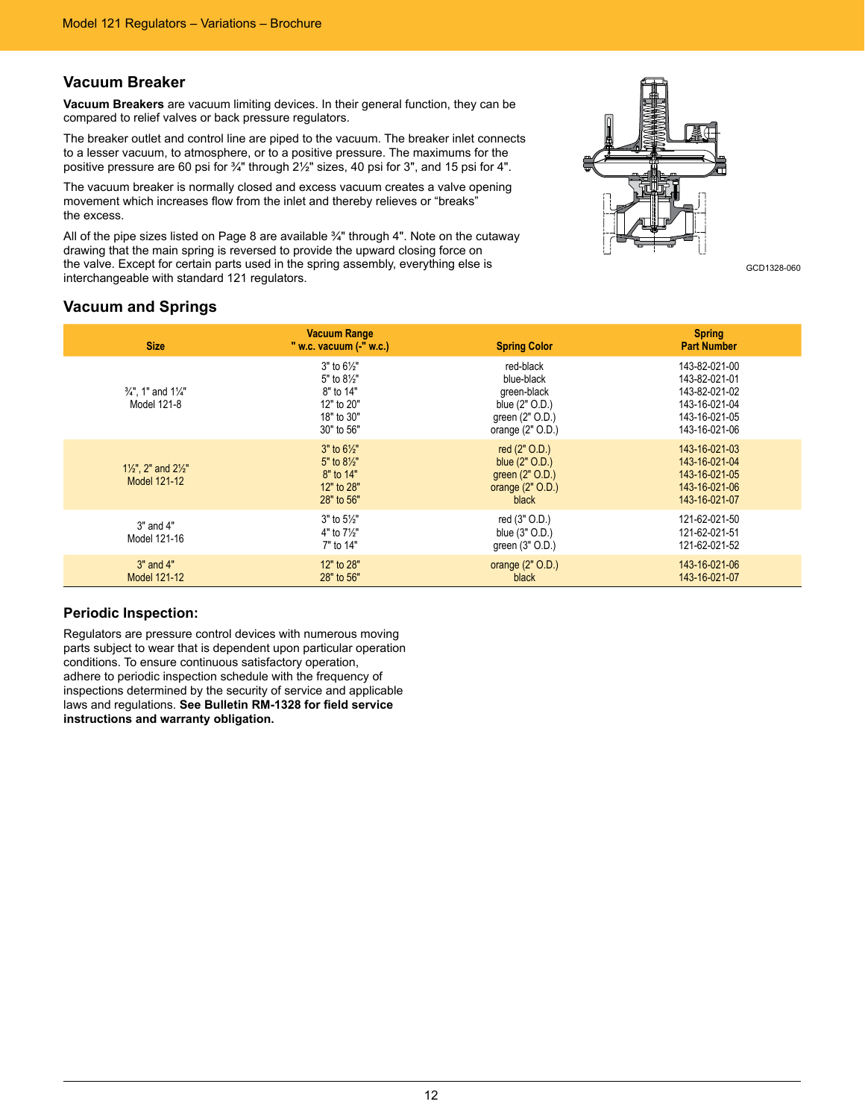### **Vacuum Breaker**

**Vacuum Breakers** are vacuum limiting devices. In their general function, they can be compared to relief valves or back pressure regulators.

The breaker outlet and control line are piped to the vacuum. The breaker inlet connects to a lesser vacuum, to atmosphere, or to a positive pressure. The maximums for the positive pressure are 60 psi for ¾" through 2½" sizes, 40 psi for 3", and 15 psi for 4".

The vacuum breaker is normally closed and excess vacuum creates a valve opening movement which increases flow from the inlet and thereby relieves or "breaks" the excess.

All of the pipe sizes listed on Page 8 are available ¾" through 4". Note on the cutaway drawing that the main spring is reversed to provide the upward closing force on the valve. Except for certain parts used in the spring assembly, everything else is the valve. Except for certain parts used in the spring assembly, everything else is<br>interchangeable with standard 121 regulators.



### **Vacuum and Springs**

| <b>Size</b>                                               | <b>Vacuum Range</b><br>" w.c. vacuum (-" w.c.)                                                | <b>Spring Color</b>                                                                               | <b>Spring</b><br><b>Part Number</b>                                                                |
|-----------------------------------------------------------|-----------------------------------------------------------------------------------------------|---------------------------------------------------------------------------------------------------|----------------------------------------------------------------------------------------------------|
| $\frac{3}{4}$ ". 1" and 11/4"<br>Model 121-8              | $3"$ to $6\frac{1}{2}"$<br>5" to 81/2"<br>8" to 14"<br>12" to 20"<br>18" to 30"<br>30" to 56" | red-black<br>blue-black<br>green-black<br>blue (2" O.D.)<br>green (2" O.D.)<br>orange $(2"$ O.D.) | 143-82-021-00<br>143-82-021-01<br>143-82-021-02<br>143-16-021-04<br>143-16-021-05<br>143-16-021-06 |
| $1\frac{1}{2}$ ", 2" and $2\frac{1}{2}$ "<br>Model 121-12 | $3"$ to $6\frac{1}{2}"$<br>5" to $8\frac{1}{2}$ "<br>8" to 14"<br>12" to 28"<br>28" to 56"    | red $(2"$ O.D.)<br>blue (2" O.D.)<br>green (2" O.D.)<br>orange $(2"$ O.D.)<br>black               | 143-16-021-03<br>143-16-021-04<br>143-16-021-05<br>143-16-021-06<br>143-16-021-07                  |
| $3"$ and $4"$<br>Model 121-16                             | $3"$ to $5\frac{1}{2}"$<br>4" to $7\frac{1}{2}$ "<br>7" to 14"                                | red (3" O.D.)<br>blue (3" O.D.)<br>green (3" O.D.)                                                | 121-62-021-50<br>121-62-021-51<br>121-62-021-52                                                    |
| $3"$ and $4"$<br>Model 121-12                             | 12" to 28"<br>28" to 56"                                                                      | orange $(2"$ O.D.)<br>black                                                                       | 143-16-021-06<br>143-16-021-07                                                                     |

### **Periodic Inspection:**

Regulators are pressure control devices with numerous moving parts subject to wear that is dependent upon particular operation conditions. To ensure continuous satisfactory operation, adhere to periodic inspection schedule with the frequency of inspections determined by the security of service and applicable laws and regulations. **See Bulletin RM-1328 for field service instructions and warranty obligation.**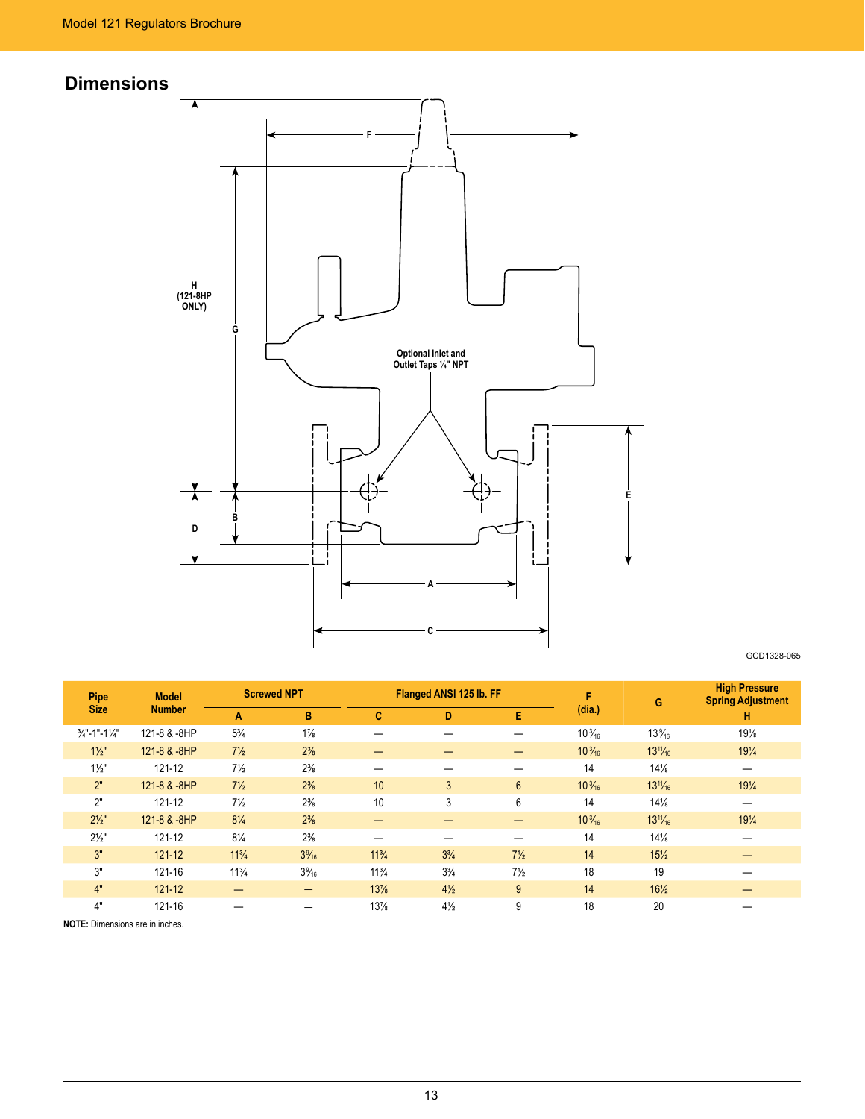# **Dimensions**



GCD1328-065

| <b>Pipe</b>              | <b>Model</b>  |                 | <b>Screwed NPT</b> |                 | Flanged ANSI 125 lb. FF |                 | F                | G               | <b>High Pressure</b><br><b>Spring Adjustment</b> |
|--------------------------|---------------|-----------------|--------------------|-----------------|-------------------------|-----------------|------------------|-----------------|--------------------------------------------------|
| <b>Size</b>              | <b>Number</b> | A               | B                  | c               | D                       | E               | (dia.)           |                 | н                                                |
| $\frac{3}{4}$ "-1"-11/4" | 121-8 & -8HP  | $5\frac{3}{4}$  | $1\frac{7}{8}$     |                 |                         |                 | $10\frac{3}{16}$ | $13\%$          | $19\frac{1}{8}$                                  |
| $1\frac{1}{2}$           | 121-8 & -8HP  | $7\frac{1}{2}$  | $2\frac{3}{8}$     |                 |                         |                 | $10\frac{3}{16}$ | $13^{11}/_{16}$ | $19\frac{1}{4}$                                  |
| $1\frac{1}{2}$           | 121-12        | $7\frac{1}{2}$  | $2\frac{3}{8}$     |                 |                         |                 | 14               | $14\frac{1}{8}$ |                                                  |
| 2"                       | 121-8 & -8HP  | $7\frac{1}{2}$  | $2\frac{3}{8}$     | 10              | 3                       | $6\phantom{.0}$ | $10\frac{3}{16}$ | $13^{11}/_{16}$ | $19\frac{1}{4}$                                  |
| 2"                       | 121-12        | $7\frac{1}{2}$  | $2\frac{3}{8}$     | 10              | 3                       | 6               | 14               | $14\frac{1}{8}$ |                                                  |
| $2\frac{1}{2}$           | 121-8 & -8HP  | $8\frac{1}{4}$  | $2\frac{3}{8}$     |                 |                         | —               | $10\frac{3}{16}$ | $13^{11}/_{16}$ | $19\frac{1}{4}$                                  |
| $2\frac{1}{2}$           | 121-12        | $8\frac{1}{4}$  | $2\frac{3}{8}$     |                 |                         |                 | 14               | $14\frac{1}{8}$ |                                                  |
| 3"                       | $121 - 12$    | $11\frac{3}{4}$ | $3\frac{9}{16}$    | $11^{3}/_{4}$   | $3^{3}/_{4}$            | $7\frac{1}{2}$  | 14               | $15\frac{1}{2}$ |                                                  |
| 3"                       | 121-16        | $11\frac{3}{4}$ | $3\frac{9}{16}$    | $11\frac{3}{4}$ | $3\frac{3}{4}$          | $7\frac{1}{2}$  | 18               | 19              |                                                  |
| 4"                       | $121 - 12$    |                 | -                  | 13%             | $4\frac{1}{2}$          | 9               | 14               | $16\frac{1}{2}$ |                                                  |
| 4"                       | 121-16        |                 |                    | 13%             | $4\frac{1}{2}$          | 9               | 18               | 20              |                                                  |

**NOTE:** Dimensions are in inches.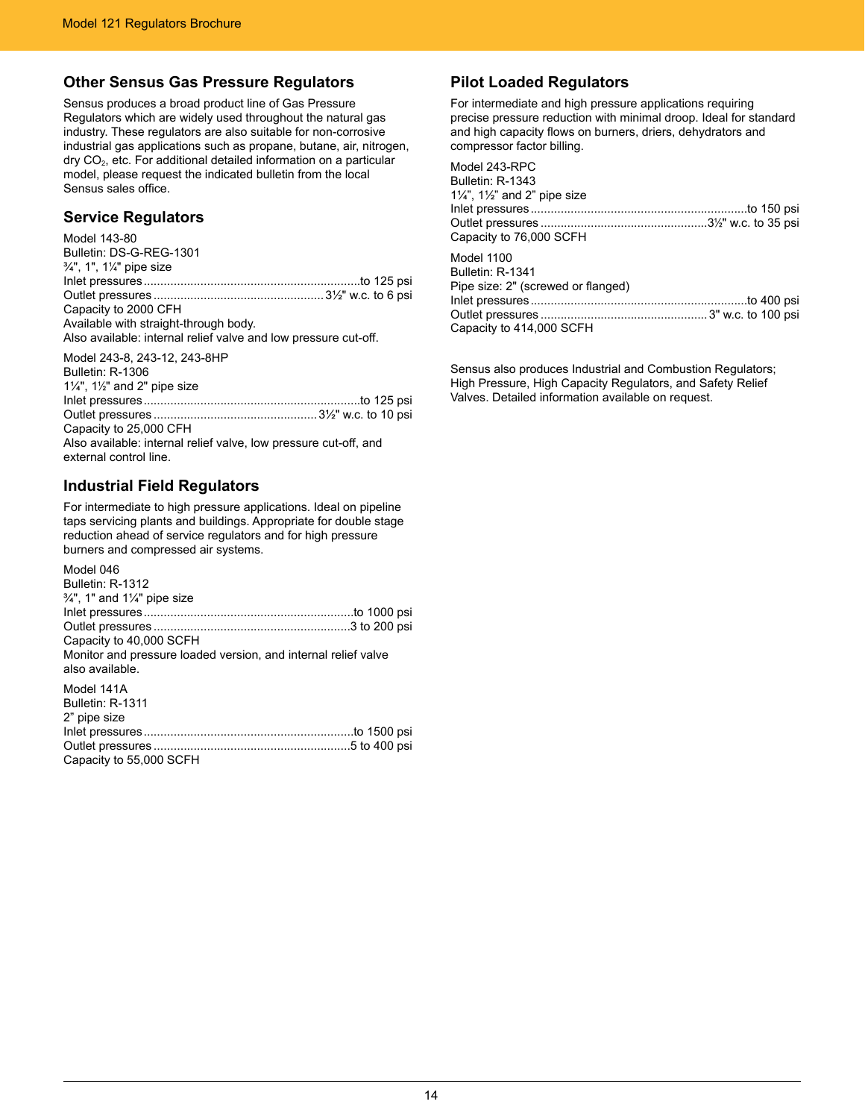### **Other Sensus Gas Pressure Regulators**

Sensus produces a broad product line of Gas Pressure Regulators which are widely used throughout the natural gas industry. These regulators are also suitable for non-corrosive industrial gas applications such as propane, butane, air, nitrogen,  $\text{div} \, \text{CO}_2$ , etc. For additional detailed information on a particular model, please request the indicated bulletin from the local Sensus sales office.

### **Service Regulators**

| Model 143-80                                                    |  |
|-----------------------------------------------------------------|--|
| Bulletin: DS-G-REG-1301                                         |  |
| 3/4", 1", 11/4" pipe size                                       |  |
|                                                                 |  |
|                                                                 |  |
| Capacity to 2000 CFH                                            |  |
| Available with straight-through body.                           |  |
| Also available: internal relief valve and low pressure cut-off. |  |
| Model 243-8, 243-12, 243-8HP                                    |  |

Bulletin: R-1306 1¼", 1½" and 2" pipe size Inlet pressures.................................................................to 125 psi Outlet pressures .................................................3½" w.c. to 10 psi Capacity to 25,000 CFH Also available: internal relief valve, low pressure cut-off, and external control line.

### **Industrial Field Regulators**

For intermediate to high pressure applications. Ideal on pipeline taps servicing plants and buildings. Appropriate for double stage reduction ahead of service regulators and for high pressure burners and compressed air systems.

| Model 046                                                                         |  |
|-----------------------------------------------------------------------------------|--|
| Bulletin: R-1312                                                                  |  |
| $\frac{3}{4}$ ", 1" and 1 $\frac{1}{4}$ " pipe size                               |  |
|                                                                                   |  |
|                                                                                   |  |
| Capacity to 40,000 SCFH                                                           |  |
| Monitor and pressure loaded version, and internal relief valve<br>also available. |  |
| Model 141A                                                                        |  |
| Bulletin: R-1311                                                                  |  |
| 2" pipe size                                                                      |  |
|                                                                                   |  |
|                                                                                   |  |
| Capacity to 55,000 SCFH                                                           |  |

# **Pilot Loaded Regulators**

For intermediate and high pressure applications requiring precise pressure reduction with minimal droop. Ideal for standard and high capacity flows on burners, driers, dehydrators and compressor factor billing.

| Model 243-RPC                                    |  |
|--------------------------------------------------|--|
| Bulletin: R-1343                                 |  |
| $1\frac{1}{4}$ , $1\frac{1}{2}$ and 2" pipe size |  |
|                                                  |  |
|                                                  |  |
| Capacity to 76,000 SCFH                          |  |
| Model 1100                                       |  |
| Bulletin: R-1341                                 |  |
| Pipe size: 2" (screwed or flanged)               |  |
|                                                  |  |
|                                                  |  |
| Capacity to 414,000 SCFH                         |  |
|                                                  |  |

Sensus also produces Industrial and Combustion Regulators; High Pressure, High Capacity Regulators, and Safety Relief Valves. Detailed information available on request.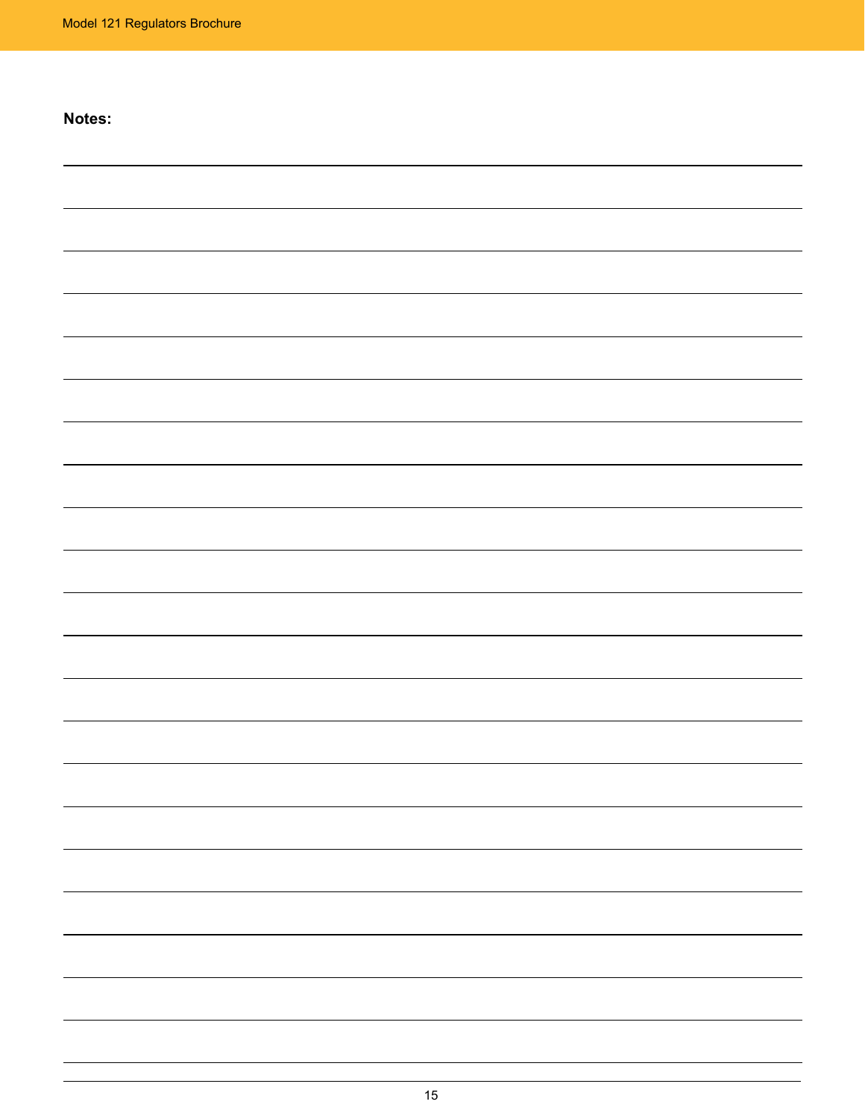# **Notes:**